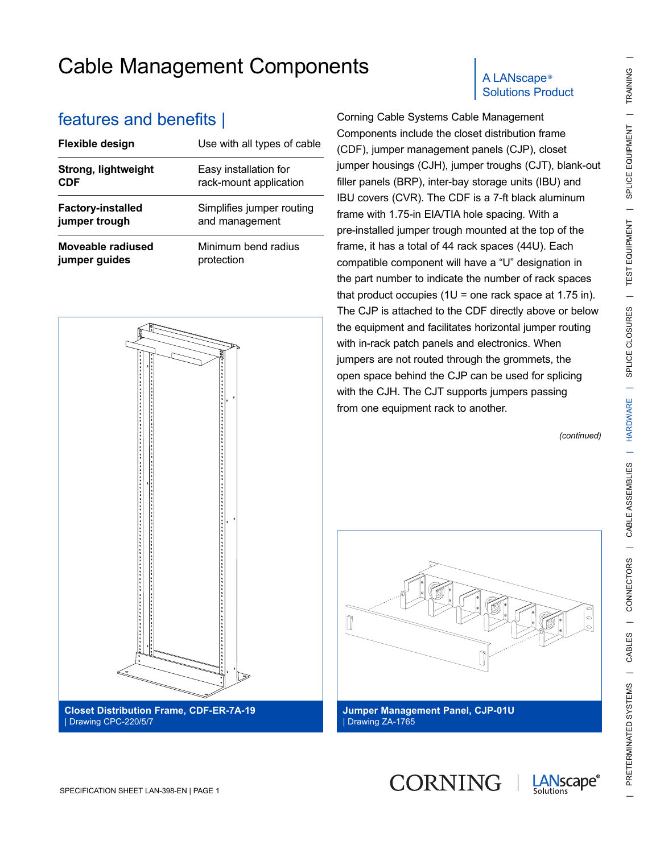| <b>reatures and benefits  </b> |                             |
|--------------------------------|-----------------------------|
| Flexible design                | Use with all types of cable |
| Strong, lightweight            | Easy installation for       |
| <b>CDF</b>                     | rack-mount application      |
| <b>Factory-installed</b>       | Simplifies jumper routing   |
| jumper trough                  | and management              |
| Moveable radiused              | Minimum bend radius         |
| jumper guides                  | protection                  |



| le o<br>eve)                                                                                                                                                                                                                     |  |
|----------------------------------------------------------------------------------------------------------------------------------------------------------------------------------------------------------------------------------|--|
| Б                                                                                                                                                                                                                                |  |
|                                                                                                                                                                                                                                  |  |
|                                                                                                                                                                                                                                  |  |
|                                                                                                                                                                                                                                  |  |
| 0<br>o                                                                                                                                                                                                                           |  |
|                                                                                                                                                                                                                                  |  |
|                                                                                                                                                                                                                                  |  |
|                                                                                                                                                                                                                                  |  |
|                                                                                                                                                                                                                                  |  |
|                                                                                                                                                                                                                                  |  |
|                                                                                                                                                                                                                                  |  |
|                                                                                                                                                                                                                                  |  |
|                                                                                                                                                                                                                                  |  |
| o<br>o                                                                                                                                                                                                                           |  |
|                                                                                                                                                                                                                                  |  |
|                                                                                                                                                                                                                                  |  |
|                                                                                                                                                                                                                                  |  |
|                                                                                                                                                                                                                                  |  |
|                                                                                                                                                                                                                                  |  |
|                                                                                                                                                                                                                                  |  |
| рего со полого поставления с полого полого полого полого полого полого полого полого полого полого полого поло<br>Во полого полого полого полого полого полого полого полого полого полого полого полого полого полого полого по |  |
|                                                                                                                                                                                                                                  |  |
| , в образово по последните на последните се последните на последните на последните на последните на последните д                                                                                                                 |  |
| $\pmb{\circ}$<br>ξ<br>$\circ$                                                                                                                                                                                                    |  |
|                                                                                                                                                                                                                                  |  |
|                                                                                                                                                                                                                                  |  |
| <b>Closet Distribution Frame, CDF-ER-7A-19</b>                                                                                                                                                                                   |  |
| Drawing CPC-220/5/7                                                                                                                                                                                                              |  |

## Solutions Product

Corning Cable Systems Cable Management Components include the closet distribution frame (CDF), jumper management panels (CJP), closet jumper housings (CJH), jumper troughs (CJT), blank-out filler panels (BRP), inter-bay storage units (IBU) and IBU covers (CVR). The CDF is a 7-ft black aluminum frame with 1.75-in EIA/TIA hole spacing. With a pre-installed jumper trough mounted at the top of the frame, it has a total of 44 rack spaces (44U). Each compatible component will have a "U" designation in the part number to indicate the number of rack spaces that product occupies  $(1U =$  one rack space at 1.75 in). The CJP is attached to the CDF directly above or below the equipment and facilitates horizontal jumper routing with in-rack patch panels and electronics. When jumpers are not routed through the grommets, the open space behind the CJP can be used for splicing with the CJH. The CJT supports jumpers passing from one equipment rack to another.

*(continued)*



**CORNING** 

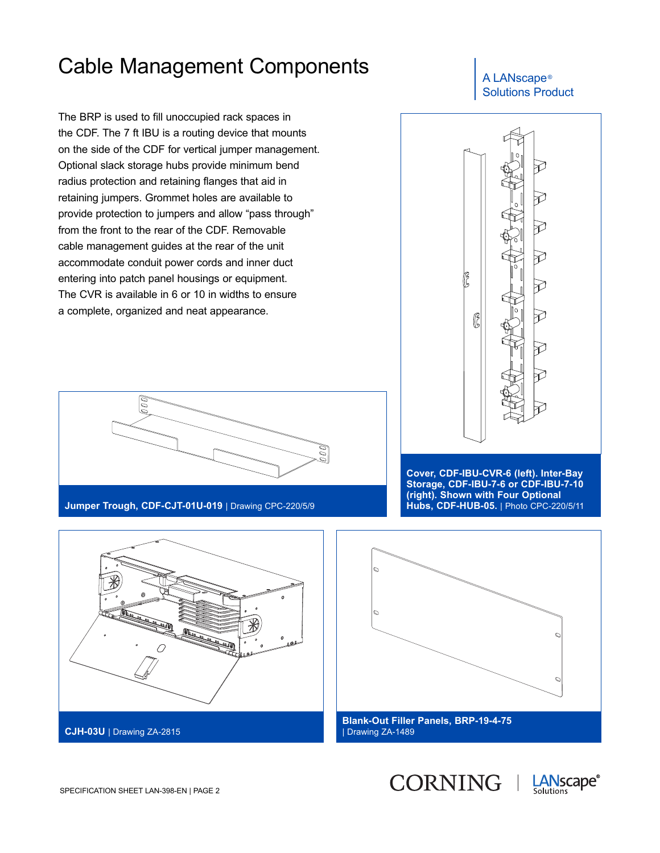The BRP is used to fill unoccupied rack spaces in the CDF. The 7 ft IBU is a routing device that mounts on the side of the CDF for vertical jumper management. Optional slack storage hubs provide minimum bend radius protection and retaining flanges that aid in retaining jumpers. Grommet holes are available to provide protection to jumpers and allow "pass through" from the front to the rear of the CDF. Removable cable management guides at the rear of the unit accommodate conduit power cords and inner duct entering into patch panel housings or equipment. The CVR is available in 6 or 10 in widths to ensure a complete, organized and neat appearance.







**Jumper Trough, CDF-CJT-01U-019** | Drawing CPC-220/5/9

**Cover, CDF-IBU-CVR-6 (left). Inter-Bay Storage, CDF-IBU-7-6 or CDF-IBU-7-10 (right). Shown with Four Optional Hubs, CDF-HUB-05.** | Photo CPC-220/5/11





| Drawing ZA-1489

CORNING |

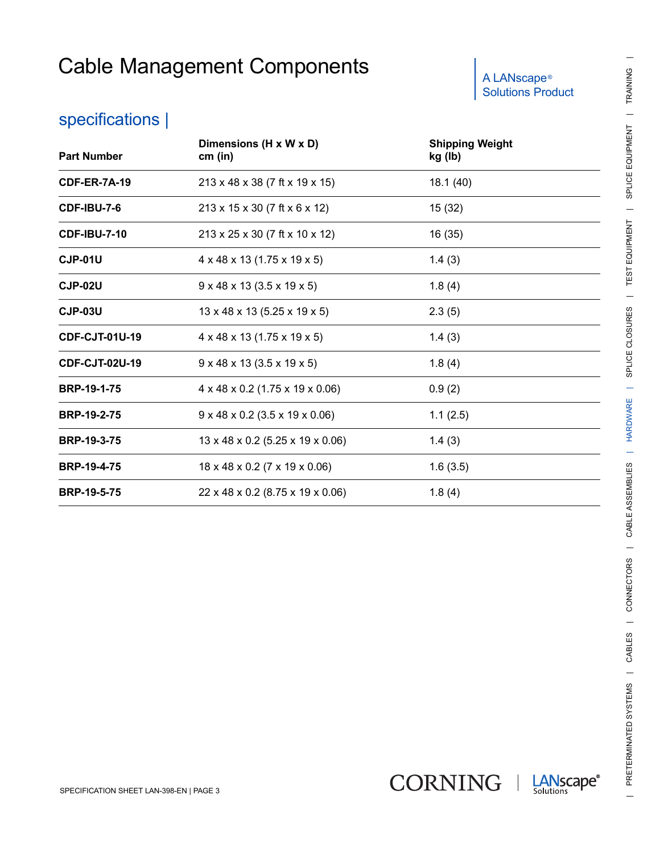# Solutions Product

#### specifications |

| <b>Part Number</b>    | Dimensions (H x W x D)<br>cm (in)                | <b>Shipping Weight</b><br>kg (lb) |  |
|-----------------------|--------------------------------------------------|-----------------------------------|--|
| <b>CDF-ER-7A-19</b>   | 213 x 48 x 38 (7 ft x 19 x 15)                   | 18.1(40)                          |  |
| <b>CDF-IBU-7-6</b>    | 213 x 15 x 30 (7 ft x 6 x 12)                    | 15 (32)                           |  |
| <b>CDF-IBU-7-10</b>   | 213 x 25 x 30 (7 ft x 10 x 12)                   | 16(35)                            |  |
| <b>CJP-01U</b>        | $4 \times 48 \times 13$ (1.75 x 19 x 5)          | 1.4(3)                            |  |
| CJP-02U               | $9 \times 48 \times 13 (3.5 \times 19 \times 5)$ | 1.8(4)                            |  |
| <b>CJP-03U</b>        | $13 \times 48 \times 13$ (5.25 x 19 x 5)         | 2.3(5)                            |  |
| <b>CDF-CJT-01U-19</b> | $4 \times 48 \times 13$ (1.75 x 19 x 5)          | 1.4(3)                            |  |
| <b>CDF-CJT-02U-19</b> | $9 \times 48 \times 13 (3.5 \times 19 \times 5)$ | 1.8(4)                            |  |
| <b>BRP-19-1-75</b>    | $4 \times 48 \times 0.2$ (1.75 x 19 x 0.06)      | 0.9(2)                            |  |
| <b>BRP-19-2-75</b>    | $9 \times 48 \times 0.2$ (3.5 x 19 x 0.06)       | 1.1(2.5)                          |  |
| <b>BRP-19-3-75</b>    | 13 x 48 x 0.2 (5.25 x 19 x 0.06)                 | 1.4(3)                            |  |
| <b>BRP-19-4-75</b>    | $18 \times 48 \times 0.2$ (7 x 19 x 0.06)        | 1.6(3.5)                          |  |
| <b>BRP-19-5-75</b>    | 22 x 48 x 0.2 (8.75 x 19 x 0.06)                 | 1.8(4)                            |  |